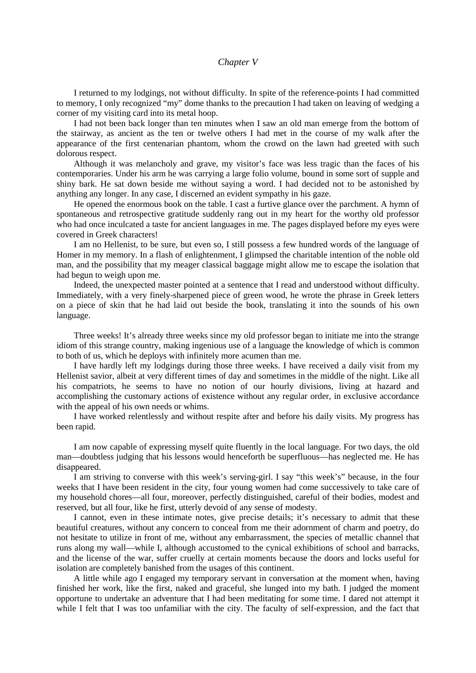## *Chapter V*

I returned to my lodgings, not without difficulty. In spite of the reference-points I had committed to memory, I only recognized "my" dome thanks to the precaution I had taken on leaving of wedging a corner of my visiting card into its metal hoop.

I had not been back longer than ten minutes when I saw an old man emerge from the bottom of the stairway, as ancient as the ten or twelve others I had met in the course of my walk after the appearance of the first centenarian phantom, whom the crowd on the lawn had greeted with such dolorous respect.

Although it was melancholy and grave, my visitor's face was less tragic than the faces of his contemporaries. Under his arm he was carrying a large folio volume, bound in some sort of supple and shiny bark. He sat down beside me without saying a word. I had decided not to be astonished by anything any longer. In any case, I discerned an evident sympathy in his gaze.

He opened the enormous book on the table. I cast a furtive glance over the parchment. A hymn of spontaneous and retrospective gratitude suddenly rang out in my heart for the worthy old professor who had once inculcated a taste for ancient languages in me. The pages displayed before my eyes were covered in Greek characters!

I am no Hellenist, to be sure, but even so, I still possess a few hundred words of the language of Homer in my memory. In a flash of enlightenment, I glimpsed the charitable intention of the noble old man, and the possibility that my meager classical baggage might allow me to escape the isolation that had begun to weigh upon me.

Indeed, the unexpected master pointed at a sentence that I read and understood without difficulty. Immediately, with a very finely-sharpened piece of green wood, he wrote the phrase in Greek letters on a piece of skin that he had laid out beside the book, translating it into the sounds of his own language.

Three weeks! It's already three weeks since my old professor began to initiate me into the strange idiom of this strange country, making ingenious use of a language the knowledge of which is common to both of us, which he deploys with infinitely more acumen than me.

I have hardly left my lodgings during those three weeks. I have received a daily visit from my Hellenist savior, albeit at very different times of day and sometimes in the middle of the night. Like all his compatriots, he seems to have no notion of our hourly divisions, living at hazard and accomplishing the customary actions of existence without any regular order, in exclusive accordance with the appeal of his own needs or whims.

I have worked relentlessly and without respite after and before his daily visits. My progress has been rapid.

I am now capable of expressing myself quite fluently in the local language. For two days, the old man—doubtless judging that his lessons would henceforth be superfluous—has neglected me. He has disappeared.

I am striving to converse with this week's serving-girl. I say "this week's" because, in the four weeks that I have been resident in the city, four young women had come successively to take care of my household chores—all four, moreover, perfectly distinguished, careful of their bodies, modest and reserved, but all four, like he first, utterly devoid of any sense of modesty.

I cannot, even in these intimate notes, give precise details; it's necessary to admit that these beautiful creatures, without any concern to conceal from me their adornment of charm and poetry, do not hesitate to utilize in front of me, without any embarrassment, the species of metallic channel that runs along my wall—while I, although accustomed to the cynical exhibitions of school and barracks, and the license of the war, suffer cruelly at certain moments because the doors and locks useful for isolation are completely banished from the usages of this continent.

A little while ago I engaged my temporary servant in conversation at the moment when, having finished her work, like the first, naked and graceful, she lunged into my bath. I judged the moment opportune to undertake an adventure that I had been meditating for some time. I dared not attempt it while I felt that I was too unfamiliar with the city. The faculty of self-expression, and the fact that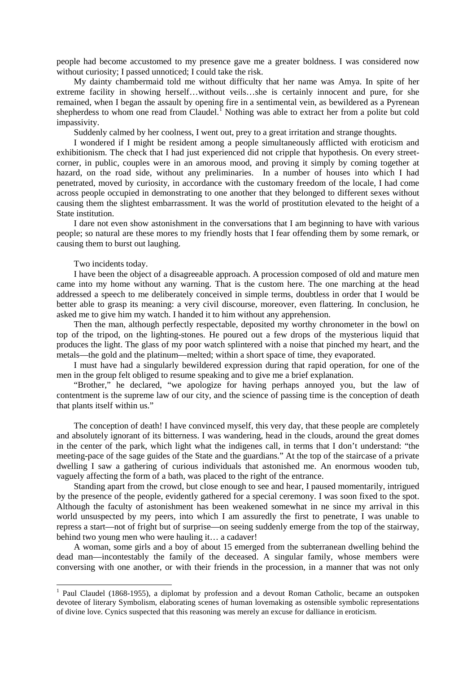people had become accustomed to my presence gave me a greater boldness. I was considered now without curiosity: I passed unnoticed: I could take the risk.

My dainty chambermaid told me without difficulty that her name was Amya. In spite of her extreme facility in showing herself…without veils…she is certainly innocent and pure, for she remained, when I began the assault by opening fire in a sentimental vein, as bewildered as a Pyrenean shepherdess to whom one read from Claudel.<sup>I</sup> Nothing was able to extract her from a polite but cold impassivity.

Suddenly calmed by her coolness, I went out, prey to a great irritation and strange thoughts.

I wondered if I might be resident among a people simultaneously afflicted with eroticism and exhibitionism. The check that I had just experienced did not cripple that hypothesis. On every streetcorner, in public, couples were in an amorous mood, and proving it simply by coming together at hazard, on the road side, without any preliminaries. In a number of houses into which I had penetrated, moved by curiosity, in accordance with the customary freedom of the locale, I had come across people occupied in demonstrating to one another that they belonged to different sexes without causing them the slightest embarrassment. It was the world of prostitution elevated to the height of a State institution.

I dare not even show astonishment in the conversations that I am beginning to have with various people; so natural are these mores to my friendly hosts that I fear offending them by some remark, or causing them to burst out laughing.

Two incidents today.

I have been the object of a disagreeable approach. A procession composed of old and mature men came into my home without any warning. That is the custom here. The one marching at the head addressed a speech to me deliberately conceived in simple terms, doubtless in order that I would be better able to grasp its meaning: a very civil discourse, moreover, even flattering. In conclusion, he asked me to give him my watch. I handed it to him without any apprehension.

Then the man, although perfectly respectable, deposited my worthy chronometer in the bowl on top of the tripod, on the lighting-stones. He poured out a few drops of the mysterious liquid that produces the light. The glass of my poor watch splintered with a noise that pinched my heart, and the metals—the gold and the platinum—melted; within a short space of time, they evaporated.

I must have had a singularly bewildered expression during that rapid operation, for one of the men in the group felt obliged to resume speaking and to give me a brief explanation.

"Brother," he declared, "we apologize for having perhaps annoyed you, but the law of contentment is the supreme law of our city, and the science of passing time is the conception of death that plants itself within us."

The conception of death! I have convinced myself, this very day, that these people are completely and absolutely ignorant of its bitterness. I was wandering, head in the clouds, around the great domes in the center of the park, which light what the indigenes call, in terms that I don't understand: "the meeting-pace of the sage guides of the State and the guardians." At the top of the staircase of a private dwelling I saw a gathering of curious individuals that astonished me. An enormous wooden tub, vaguely affecting the form of a bath, was placed to the right of the entrance.

Standing apart from the crowd, but close enough to see and hear, I paused momentarily, intrigued by the presence of the people, evidently gathered for a special ceremony. I was soon fixed to the spot. Although the faculty of astonishment has been weakened somewhat in ne since my arrival in this world unsuspected by my peers, into which I am assuredly the first to penetrate, I was unable to repress a start—not of fright but of surprise—on seeing suddenly emerge from the top of the stairway, behind two young men who were hauling it… a cadaver!

A woman, some girls and a boy of about 15 emerged from the subterranean dwelling behind the dead man—incontestably the family of the deceased. A singular family, whose members were conversing with one another, or with their friends in the procession, in a manner that was not only

<span id="page-1-0"></span><sup>&</sup>lt;sup>1</sup> Paul Claudel (1868-1955), a diplomat by profession and a devout Roman Catholic, became an outspoken devotee of literary Symbolism, elaborating scenes of human lovemaking as ostensible symbolic representations of divine love. Cynics suspected that this reasoning was merely an excuse for dalliance in eroticism.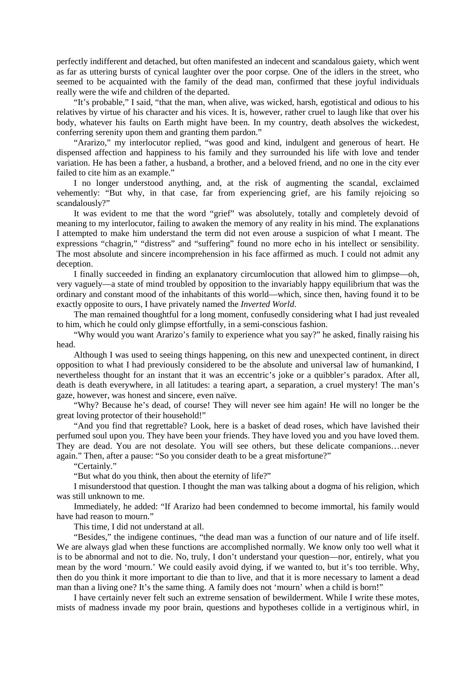perfectly indifferent and detached, but often manifested an indecent and scandalous gaiety, which went as far as uttering bursts of cynical laughter over the poor corpse. One of the idlers in the street, who seemed to be acquainted with the family of the dead man, confirmed that these joyful individuals really were the wife and children of the departed.

"It's probable," I said, "that the man, when alive, was wicked, harsh, egotistical and odious to his relatives by virtue of his character and his vices. It is, however, rather cruel to laugh like that over his body, whatever his faults on Earth might have been. In my country, death absolves the wickedest, conferring serenity upon them and granting them pardon."

"Ararizo," my interlocutor replied, "was good and kind, indulgent and generous of heart. He dispensed affection and happiness to his family and they surrounded his life with love and tender variation. He has been a father, a husband, a brother, and a beloved friend, and no one in the city ever failed to cite him as an example."

I no longer understood anything, and, at the risk of augmenting the scandal, exclaimed vehemently: "But why, in that case, far from experiencing grief, are his family rejoicing so scandalously?"

It was evident to me that the word "grief" was absolutely, totally and completely devoid of meaning to my interlocutor, failing to awaken the memory of any reality in his mind. The explanations I attempted to make him understand the term did not even arouse a suspicion of what I meant. The expressions "chagrin," "distress" and "suffering" found no more echo in his intellect or sensibility. The most absolute and sincere incomprehension in his face affirmed as much. I could not admit any deception.

I finally succeeded in finding an explanatory circumlocution that allowed him to glimpse—oh, very vaguely—a state of mind troubled by opposition to the invariably happy equilibrium that was the ordinary and constant mood of the inhabitants of this world—which, since then, having found it to be exactly opposite to ours, I have privately named the *Inverted World*.

The man remained thoughtful for a long moment, confusedly considering what I had just revealed to him, which he could only glimpse effortfully, in a semi-conscious fashion.

"Why would you want Ararizo's family to experience what you say?" he asked, finally raising his head.

Although I was used to seeing things happening, on this new and unexpected continent, in direct opposition to what I had previously considered to be the absolute and universal law of humankind, I nevertheless thought for an instant that it was an eccentric's joke or a quibbler's paradox. After all, death is death everywhere, in all latitudes: a tearing apart, a separation, a cruel mystery! The man's gaze, however, was honest and sincere, even naïve.

"Why? Because he's dead, of course! They will never see him again! He will no longer be the great loving protector of their household!"

"And you find that regrettable? Look, here is a basket of dead roses, which have lavished their perfumed soul upon you. They have been your friends. They have loved you and you have loved them. They are dead. You are not desolate. You will see others, but these delicate companions…never again." Then, after a pause: "So you consider death to be a great misfortune?"

"Certainly."

"But what do you think, then about the eternity of life?"

I misunderstood that question. I thought the man was talking about a dogma of his religion, which was still unknown to me.

Immediately, he added: "If Ararizo had been condemned to become immortal, his family would have had reason to mourn."

This time, I did not understand at all.

"Besides," the indigene continues, "the dead man was a function of our nature and of life itself. We are always glad when these functions are accomplished normally. We know only too well what it is to be abnormal and not to die. No, truly, I don't understand your question—nor, entirely, what you mean by the word 'mourn.' We could easily avoid dying, if we wanted to, but it's too terrible. Why, then do you think it more important to die than to live, and that it is more necessary to lament a dead man than a living one? It's the same thing. A family does not 'mourn' when a child is born!"

I have certainly never felt such an extreme sensation of bewilderment. While I write these motes, mists of madness invade my poor brain, questions and hypotheses collide in a vertiginous whirl, in